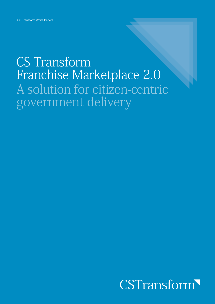### **CS Transform** Franchise Marketplace 2.0 A solution for citizen-centric government delivery

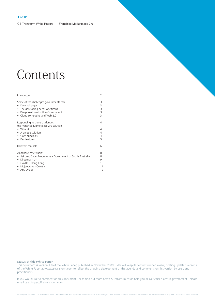### Contents

| Introduction                                                                                                                                                                         | 2                             |
|--------------------------------------------------------------------------------------------------------------------------------------------------------------------------------------|-------------------------------|
| Some of the challenges governments face<br>Key challenges<br>• The developing needs of citizens<br>Disappointment with e-Government<br>• Cloud computing and Web 2.0                 | 3<br>3<br>3<br>3<br>3         |
| Responding to these challenges:<br>the Franchise Marketplace 2.0 solution<br>• What it is<br>• A unique solution<br>• Core principles<br>• Key features                              | 4<br>4<br>4<br>4<br>5         |
| How we can help                                                                                                                                                                      | 6                             |
| Appendix: case studies<br>• 'Ask Just Once' Programme - Government of South Australia<br>Directgov - UK<br>$\bullet$<br>• GovHK - Hong Kong<br>• Mojauprava - Croatia<br>• Abu Dhabi | 8<br>8<br>9<br>10<br>11<br>12 |

#### **Status of this White Paper**

This document is Version 1.0 of the White Paper, published in November 2009. We will keep its contents under review, posting updated versions of the White Paper at www.cstransform.com to reflect the ongoing development of this agenda and comments on this version by users and practitioners.

If you would like to comment on this document - or to find out more how CS Transform could help you deliver citizen-centric government - please email us at impact@cstransform.com.

© All rights reserved. CS Transform 2009. All trademarks and registered trademarks are acknowledged. We reserve the right to amend the contents of this document at any time. Publication date 19/11/09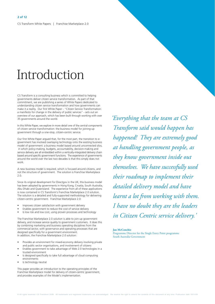### Introduction

CS Transform is a consulting business which is committed to helping governments deliver citizen service transformation. As part of that commitment, we are publishing a series of White Papers dedicated to understanding citizen service transformation and how governments can make it a reality. Our first White Paper - "Citizen Service Transformation: a manifesto for change in the delivery of public services" - sets out an overview of our approach, which has been built through working with over 35 governments around the world.

In this White Paper, we explore in more detail one of the central components of citizen service transformation: the business model for joining-up government through a one-stop, citizen-centric service.

Our first White Paper argued that, for the most part, the transition to egovernment has involved overlaying technology onto the existing business model of government: a business model based around unconnected silos, in which policy-making, budgets, accountability, decision-making and service delivery are all embedded within a vertically-integrated delivery chain based around specific government functions. The experience of governments around the world over the last two decades is that this simply does not work

A new business model is required, which is focused around citizens, and not the structure of government. The solution is Franchise Marketplace  $2.0.$ 

Since its original development for Directgov in the UK, this business model has been adopted by governments in Hong Kong, Croatia, South Australia, Abu Dhabi and Oueensland. The experience from all of these applications is now contained in CS Transform's Franchise Marketplace 2.0 solution. The solution is a detailed and fully-supported methodology for delivering citizen-centric government. Franchise Marketplace 2.0:

- Improves citizen satisfaction with government delivery
- Enables government to reduce the cost of service delivery
- Is low risk and low cost, using proven processes and technology

The Franchise Marketplace 2.0 solution is able to join-up government delivery and increase service quality to government customers. It does this by combining marketing and business operating disciplines from the commercial sector, with governance and operating processes that are designed specifically for a government environment. In addition, the Franchise Marketplace 2.0 solution:

- Provides an environment for mixed-economy delivery involving private and public sector organisations, and involvement of citizens
- Enables government to take advantage of Web 2.0 technologies in a trusted environment
- Is designed specifically to take full advantage of cloud computing environments
- Is technology neutral

This paper provides an introduction to the operating principles of the Franchise Marketplace model for delivery of citizen-centric government, and provides examples of the Model's implementation.

'Everything that the team at CS Transform said would happen has happened! They are extremely good at handling government people, as they know government inside out themselves. We have successfully used their roadmap to implement their detailed delivery model and have learnt a lot from working with them. I have no doubt they are the leaders in Citizen Centric service delivery.'

#### **Ian McConchie**

Programme Director for the Single Entry Point programme South Australia Government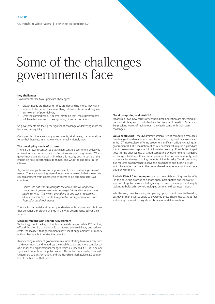### Some of the challenges governments face

#### **Key challenges**

Governments face two significant challenges:

- Citizen needs are changing they are demanding more, they want services to be better, they want things delivered faster and they are less tolerant of poor delivery
- Over the coming years, it seems inevitable that, most governments will have less money to meet growing citizen expectations

So governments are facing the significant challenge of delivering more for less - and very quickly.

On top of this, there are many governments, at all levels, that now strive to do their business in a more environmentally friendly way.

#### The developing needs of citizens

There is a growing consensus that citizen-centric government delivery is required in order to have a successful e-Government programme. Where governments are less certain is in what this means; both in terms of the impact on how governments do things, and what the end result is for citizens.

Key to delivering citizen-centric government, is understanding citizens' needs. There is a growing base of international research that shows one key requirement from citizens which seems to be common across all countries:

Citizens do not want to navigate the administrative or political structures of government in order to get information or consume public services. They want everything in one place - regardless of whether it is from central, regional or local government - and focused around their needs.

This is a fundamental and perfectly understandable requirement - but one that demands a profound change in the way governments deliver their services

#### **Disappointment with change-Government**

Technology is not the key to that fundamental change. While ICT has long offered the promise of being able to improve service delivery and reduce costs, the reality is that governments have spent huge amounts of money without being able to realise the benefits

An increasing number of governments are now starting to move away from "e-Government", and to address the much broader and more complex set of cultural and organisational changes which are needed if ICT is to deliver significant benefits in the public sector. This is the process which we call citizen service transformation, and the Franchise Marketplace 2.0 solution lies at the heart of that process.

#### Cloud computing and Web 2.0

Meanwhile, two new forms of technological innovation are emerging in the market place, each of which offers the promise of benefits. But - much like previous waves of technology - they each come with their own challenges

**Cloud computing** - the dynamically-scalable set of computing resources now being offered as a service over the Internet - may well be a watershed in the ICT marketplace, offering scope for significant efficiency savings in government ICT. But realisation of its key benefits will require a paradigm shift in governments' approach to information security. Possibly the biggest threat to the effective use of Cloud computing by governments is a desire to change it to fit in with current approaches to information security, and so lose a critical mass of its key benefits. More broadly, Cloud computing also requires governments to solve the governance and funding issues which have often hampered the use of shared services in a traditional noncloud environment

Similarly. Web 2.0 technologies open up potentially exciting new benefits - in this case, the promise of a more open, participative and innovative approach to public services. But again, governments are at present largely seeking to bolt such new technologies on to an old business model.

In both cases, new technology is opening up significant potential benefits, but governments will struggle to overcome those challenges without first addressing the need for significant business model innovation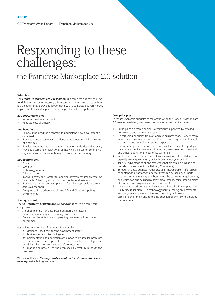# Responding to these<br>challenges:

### the Franchise Marketplace 2.0 solution

#### What it is

The Franchise Marketplace 2.0 solution, is a complete business solution for delivering customer-focused, citizen-centric government service delivery. It is unique in that it provides governments with a complete business model. implementation roadmap, and supporting collateral and applications.

#### Key deliverables are:

- Increased customer satisfaction
- Reduced cost of delivery

#### Key benefits are:

- Removes the need for customers to understand how government is organised
- Provides a better customer experience that generates higher take-up of e-services
- Enables government to join-up internally, across territories and vertically
- Provides a safe and efficient way of involving third sector, commercial organisations and individuals in government service delivery

#### Key features are:

- Proven
- I ow risk
- Technology neutral
- Fully supported
- Involves knowledge transfer for ongoing government implementation
- Licensable IP, training and support for use by local vendors
- Provides a common business platform for joined-up service delivery across all channels
- Designed to take advantage of Web 2.0 and Cloud computing environments

#### A unique solution

#### The CS Transform Marketplace 2.0 solution is based on three core components:

- An underpinning franchise-based business architecture
- Brand and marketing-led operating processes
- Detailed implementation and operating processes tailored for each anvernment

It is unique in a number of respects. In particular:

- It is designed specifically for the government sector
- It is business led not technology led
- Its implementation and operation are supported by detailed processes that are unique to each application - it is not simply a set of high-level principles which governments are left to interpret
- It is mature and proven having been used successfully in the UK for five years

We believe that it is the only turnkey solution for citizen-centric service delivery available to governments.

#### Core principles

There are seven core principles to the way in which the Franchise Marketplace 2.0 solution enables governments to transform their service delivery:

- Put in place a detailed business architecture supported by detailed  $1$ governance and delivery processes
- Do this using principles from a franchise business model, where many individual parts of a business operate in the same way in order to create a common and controlled customer experience
- Use marketing principles from the commercial sector specifically adapted for a government environment to enable government to understand and deliver against the needs of its customers
- Implement this in a phased and risk-averse way to build confidence and capacity inside government, typically over a four year period
- $\overline{5}$ Take full advantage of all the resources that are available inside and outside of government (the Delivery Community)
- Through this new business model, create an interoperable 'safe harbour'  $6<sup>1</sup>$ of content and transactional services that can be used by all parts of a government in a way that best meets the customers requirements. and which can also be used by across government entities (for examples at central, regional/provincial and local levels)
- 7. Leverage your existing technology assets. Franchise Marketplace 2.0 is a business solution. It is technology neutral, taking an incremental and pragmatic approach to the use of existing technology assets in government and to the introduction of any new technology that is required.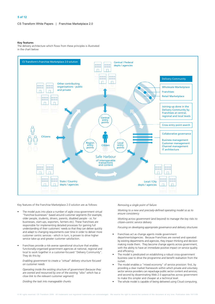#### **Key features**

The delivery architecture which flows from these principles is illustrated in the chart below:



Key features of the Franchise Marketplace 2.0 solution are as follows:

- The model puts into place a number of agile cross-government virtual "franchise businesses" based around customer segments (for example, older people, students, drivers, parents, disabled people - or, for businesses, start-ups, exporters, farmers etc). These franchises are responsible for implementing detailed processes for gaining full understanding of their customers' needs so that they can deliver quickly and adapt to changing requirements over time in order to deliver more customer centric services - which in turn, is proven to drive higher service take-up and greater customer satisfaction.
- Franchises provide a risk-averse operational structure that enables functionally-organised government agencies at national, regional and local to work together in a customer-focused "Delivery Community". They do this by:

Enabling government to create a "virtual" delivery structure focused on customer needs

Operating inside the existing structure of government (because they are owned and resourced by one of the existing "silos" which has a close link to the relevant customer segment)

Dividing the task into manageable chunks

Removing a single point of failure

Working to a new and precisely-defined operating model so as to ensure consistency

Working across government (and beyond) to manage the key risks to citizen-centric service delivery

Focusing on developing appropriate governance and delivery structures

- Franchises act as change agents inside government
- departments/agencies. Because Franchises are owned and operated by existing departments and agencies, they impact thinking and decision making inside them. They become change agents across government, with the ability to have an immediate positive impact on service quality and efficiency.
- The model is predicated on establishing a robust cross-government business case to drive the programme and benefit realisation from the outset
- The model enables a "mixed economy" of service provision: first, by providing a clear market framework within which private and voluntary sector service providers can repackage public sector content and services; and second by disseminating Web 2.0 approaches across government to make this simpler and cheaper at a technical level.
- The whole model is capable of being delivered using Cloud computing.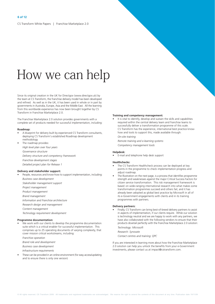### How we can help

Since its original creation in the UK for Directgov (www.directgov.uk) by the team at CS Transform, the franchise delivery model has been developed and refined. As well as in the UK, it has been used in whole or in part by governments in Australia, Europe, Asia and the Middle East. All the learning from this worldwide experience has now been brought together by CS Transform in Franchise Marketplace 2.0.

The Franchise Marketplace 2.0 solution provides governments with a complete set of products needed for successful implementation, including:

#### Roadmap:

- A blueprint for delivery built by experienced CS Transform consultants. deploying CS Transform's established Roadmap development methodology
- The roadmap provides:
	- High level plan over four years
	- Governance structure
	- Delivery structure and competency framework
	- Franchise development stages
	- Detailed project plan for Release 1

#### Delivery and stakeholder support:

People, resources and know-how to support implementation, including: **Business case development** 

Stakeholder management support

- Project management
- Product management
- **Brand management**
- Information and Franchise architecture
- Research design and management
- Content management

Technology requirement development

#### Programme documentation:

We work with our clients to develop the programme documentation suite which is a critical enabler for successful implementation. This comprises up to 25 operating documents of varying complexity, that cover mission critical workstreams, including:

Franchise operation

Brand role and development

**Business case development** 

Infrastructure requirements

These can be provided in an online environment (for easy access/updating and to ensure there is only one version)

#### Training and competency management:

It is vital to identify, develop and sustain the skills and capabilities required within the central delivery team and franchise teams to successfully deliver a transformation programme of this scale. CS Transform has the experience, international best practice knowhow and tools to support this, made available through:

On-site training

Remote training and e-learning systems Competency management tools

#### Helpdesk:

E-mail and telephone help desk support

#### **Healthchecks:**

- The CS Transform Healthcheck process can be deploved at key points in the programme to check implementation progress and adiust roadmap.
- The Illustration on the next page, is a process that identifies programme strength and weaknesses against the major Critical Success Factors for citizen service transformation. This risk management framework is based on wide-ranging international research into what makes some transformation programmes succeed and others fail, and it has already been adopted as global best practice by Microsoft in all of its e-Government engagements with clients and in its training programmes with partners.

#### **Delivery partners:**

Finally, CS Transform can bring best-of-breed delivery partners to assist in aspects of implementation, if our clients require. While our solution is technology neutral and we are happy to work with any partners, we have also collaborated with the following vendors to ensure that their products dovetail perfectly with the Franchise Marketplace 2.0 solution: Technology: Microsoft

Research: Synovate

Contact centres and training: QPC

If you are interested in learning more about how the Franchise Marketplace 2.0 solution can help you unlock the benefits from your e-Government investments, please contact us at impact@cstransform.com.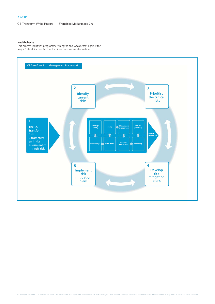#### 7 of 12

CS Transform White Papers | Franchise Marketplace 2.0

#### **Healthchecks**

This process identifies programme strengths and weaknesses against the<br>major Critical Success Factors for citizen service transformation

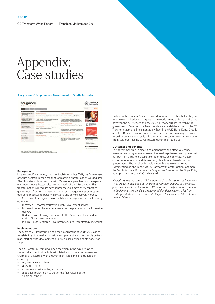## Appendix:<br>Case studies

#### 'Ask just once' Programme - Government of South Australia

| <b>Little State</b>                                                                                                                                                                                                                                                                                                                                                                                                                                                                                      | <b>Be Kenny Wy assessed</b>                                                                                                                                                                                                                                                                                                                                                                                                                                                                                                                                                                                                                                                                                           |                                                                                                                                                                                                                                                                                                                                                                                                                                                                                                                                                                                                                                                                                                                                                                                                                                                                                                                                                         | General Co.                                                                                                                                                                                                                                                                                                     |
|----------------------------------------------------------------------------------------------------------------------------------------------------------------------------------------------------------------------------------------------------------------------------------------------------------------------------------------------------------------------------------------------------------------------------------------------------------------------------------------------------------|-----------------------------------------------------------------------------------------------------------------------------------------------------------------------------------------------------------------------------------------------------------------------------------------------------------------------------------------------------------------------------------------------------------------------------------------------------------------------------------------------------------------------------------------------------------------------------------------------------------------------------------------------------------------------------------------------------------------------|---------------------------------------------------------------------------------------------------------------------------------------------------------------------------------------------------------------------------------------------------------------------------------------------------------------------------------------------------------------------------------------------------------------------------------------------------------------------------------------------------------------------------------------------------------------------------------------------------------------------------------------------------------------------------------------------------------------------------------------------------------------------------------------------------------------------------------------------------------------------------------------------------------------------------------------------------------|-----------------------------------------------------------------------------------------------------------------------------------------------------------------------------------------------------------------------------------------------------------------------------------------------------------------|
| Top 5<br>I Kamere ushada registration or<br>driver's lowers.<br><b>A Concessions Soder</b><br>F Bus, fram and tram timetation<br>> Register a business name<br>· Request a Birth, Death or<br><b>Markage Certificate</b><br><b>Shekolarius</b><br>Countries<br><b>+ 4 to 2 Government</b><br>F Premier and Neusters<br>Business<br>A Deadlery Inform<br><b>A Kary contracts</b><br>Community<br><b>I</b> Dewchorn Retirnal<br><b>F Crisis Falklenes</b><br><b>Faborignal Issuedit</b><br><b>b</b> Grants | <b>Sholght Is.</b><br>Water and the environment<br>Environment and natural resources. Benchng and weste.<br>Water, Climate and energy, Animals<br><b>Engineers</b> and Brance<br>All work, Looking for work, Workplace safety, Information<br>for employers, Money, Pelancial support<br>Arts, sport and labora-<br>Sport and racreation, Entertainment, Facilities, Organisans<br>Health and wellseing<br>Emergencies, Service providers, Services, Infectious<br>dreams, Drugs and alcohol, Resources<br><b>Community Insurance</b><br>Carers, Mousing, DeadyMy, Volunteering, Morrisinal expect.<br>pervices. Moranty<br>Colora: Josefe's and the best<br>Clima. The legal system, Coing to court, Going to prison | Trainport, travel and demoting<br>Public transport and travel. Holoring, Regelration,<br>Leanand, Cyding, Industry earliess, Bizaling<br>Business, industry and itude<br>Starting and managing a business. Cownery and<br>regulation. Engineerig people, Exporting and Importing.<br>finites to prowriment. Business and industry sectors<br><b>Education</b> , skills and learning<br>Fre school, Schools, Leavest school, July learness.<br>University, Disemational students, Indigenous education<br><b>Seaton</b><br>Housing, Help at Noma, Concessions and finances, Health.<br>and wellbared, Ledal moues. Transport, Staying connected<br>Emargamez, salely and infrastructure.<br>Emergericy; Community Safety, Safety at home, Emergency<br>Harcegoment, Utilities, Infrastructure<br>Childrens and your rights<br>Citizen rubbs, Citizen status, Protecting your rights,<br>Property, Renting, Shopper protection, Access for<br>government. | adelaid<br>PAGE OF PRAYDE FUE<br>v<br>welcule to competent<br><b>Big Lorry</b><br>remewryskar<br>vehicle regativation<br>at Australia Post<br><b>CONTRACTOR</b><br>Events<br><b>b</b> Paulet Festival (F)<br>. Hogal: End Highty River Runt (F)<br>P Lights Of Lubertual IF<br><b>I</b> Carola By Candidadel II |

#### Background

In its Ask Just Once strategy document published in late 2007, the Government of South Australia recognized that far-reaching transformation was required. Their Minister for Infrastructure said: "Obsolete approaches must be replaced with new models better suited to the needs of the 21st century. This transformation will require new approaches to almost every aspect of government, from organisational and asset management structures and operating practices to personnel systems and service delivery models. The Government had agreed on an ambitious strategy aimed at the following outcomes:

- Increased Customer satisfaction with Government services
- Increased use of the Internet channel as the primary channel for service delivery
- Reduced cost of doing business with the Government and reduced cost of Government operations

(Source: South Australian Government Ask Just Once strategy document)

#### Implementation

The team at CS Transform helped the Government of South Australia to translate this high level vision into a comprehensive and workable delivery plan, starting with development of a web-based citizen-centric one stop shop.

The CS Transform team developed the vision in the Ask Just Once strategy document into a fully articulated and risk-averse business and channels architecture, with a government-wide implementation plan including:

- a governance structure
- a resource plan
- workstream deliverables, and scope
- a detailed project plan to deliver the first release of the single entry point.

Critical to the roadmap's success was development of stakeholder buy-in to a new organisational and governance model aimed at bridging the gap between the AJO service and the existing legacy businesses within the government. Based on the franchise delivery model developed by the CS Transform team and implemented by them in the UK, Hong Kong, Croatia and Abu Dhabi, this new model allows the South Australian government to deliver content and services in a way that customers want to consume them, without needing to restructure government to do so.

#### **Outcomes and benefits**

The government put in place a comprehensive and effective change management programme following the roadmap development phase that has put it on track to increase take-up of electronic services, increase customer satisfaction, and deliver tangible efficiency benefits across government. The initial deliverable is now live at www.sa.gov.au. Commenting on the impact of CS Transform's transformation roadmap, the South Australia Government's Programme Director for the Single Entry Point programme, Jan McConchie, said:

'Everything that the team at CS Transform said would happen has happened! They are extremely good at handling government people, as they know government inside out themselves. We have successfully used their roadmap to implement their detailed delivery model and have learnt a lot from working with them. I have no doubt they are the leaders in Citizen Centric service delivery."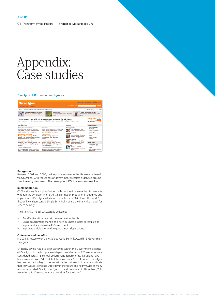## Appendix:<br>Case studies

#### Directgov - UK www.direct.gov.uk



#### Background

Between 2001 and 2004, online public services in the UK were delivered via UKOnline, with thousands of government websites organised around structure of government. The take-up for UKOnline was relatively low.

#### Implementation

CS Transform's Managing Partners, who at the time were the civil servants who ran the UK government's e-transformation programme, designed and implemented Directgov which was launched in 2004. It was the world's first online citizen-centric Single Entry Point using the Franchise model for service delivery.

The Franchise model successfully delivered:

- An effective citizen-centric government in the UK
- Cross-government change and new business processes required to implement a sustainable E-Government
- Improved efficiencies within government departments

#### **Outcomes and benefits**

In 2005, Directgov won a prestigious World Summit Award in E-Government Category.

Efficiency saving has also been achieved within the Government because of Directgov. In the first phase of departmental reviews, 951 websites were considered across 18 central government departments. Decisions have been taken to close 551 (58%) of these websites. Since its launch, Directgov has been achieving high customer satisfaction. Nine out of ten users indicate that they would like to use Directgov in the future and nearly twice as many respondents rated Directgov as 'good' overall compared to UK online (60% awarding a 8-10 score compared to 33% for the latter).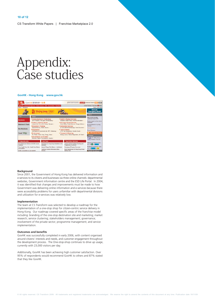## Appendix:<br>Case studies

#### GovHK - Hong Kong www.gov.hk



#### Background

Since 2001, the Government of Hong Kong has delivered information and e-services to its citizens and businesses via three online channels: departmental websites, Government information centre and the ESD Life Portal. In 2004, it was identified that changes and improvements must be made to how Government was delivering online information and e-services because there were accessibility problems for users unfamiliar with departmental divisions and utilization for e-services was relatively low.

#### Implementation

The team at CS Transform was selected to develop a roadmap for the implementation of a one-stop shop for citizen-centric service delivery in Hong Kong. Our roadmap covered specific areas of the franchise model including: branding of the one-stop destination site and marketing; market research; service clustering; stakeholders management; governance; involvement of the private sector; programme management; and service implementation.

#### **Outcomes and benefits**

GovHK was successfully completed in early 2006, with content organised around citizens' interests and needs, and customer engagement throughout the development process. The One-stop-shop continues to drive up usage, currently with 23,000 visitors per day.

Additionally, GovHK has been achieving high customer satisfaction. Over 95% of respondents would recommend GovHK to others and 87% stated that they like GovHK.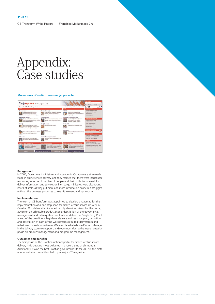## Appendix:<br>Case studies

#### Mojauprava - Croatia www.mojauprava.hr



#### Background

In 2006, Government ministries and agencies in Croatia were at an early stage in online service delivery, and they realised that there were inadequate resources, in terms of number of people and their skills, to successfully deliver information and services online. Large ministries were also facing issues of scale, as they put more and more information online but struggled without the business processes to keep it relevant and up-to-date.

#### Implementation

The team at CS Transform was appointed to develop a roadmap for the implementation of a one-stop shop for citizen-centric service delivery in Croatia. Our deliverables included: a fully described vision for the portal; advice on an achievable product scope; description of the governance, management and delivery structure that can deliver the Single Entry Point ahead of the deadline; a high-level delivery and resource plan; definition and description of each of the workstreams required; deliverables and milestones for each workstream. We also placed a full-time Product Manager in the delivery team to support the Government during the implementation phase on product management and programme management.

#### **Outcomes and benefits**

The first phase of the Croatian national portal for citizen-centric service delivery - Mojauprava - was delivered in a record time of six months. Additionally, it won the best Croatian government site for 2007 in the ninth annual website competition held by a major ICT magazine.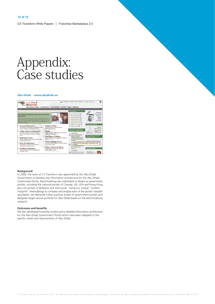## Appendix:<br>Case studies

#### Abu Dhabi www.abudhabi.ae



#### Background

In 2006, the team at CS Transform was appointed by the Abu Dhabi Government to develop the information architecture for the Abu Dhabi Government Portal. Benchmarking was undertaken to review six government portals, including the national portals of Canada, UK, USA and Hong Kong, plus city portals of Brisbane and Vancouver. Using our unique "content footprint" methodology to compare and analyse each of the portals' breadth and depth, we delivered a best practice review of government portals and designed target service portfolio for Abu Dhabi based on the benchmarking research.

#### **Outcomes and benefits**

We also developed Franchise clusters and a detailed information architecture for the Abu Dhabi Government Portal which have been adapted to the specific needs and requirements of Abu Dhabi.